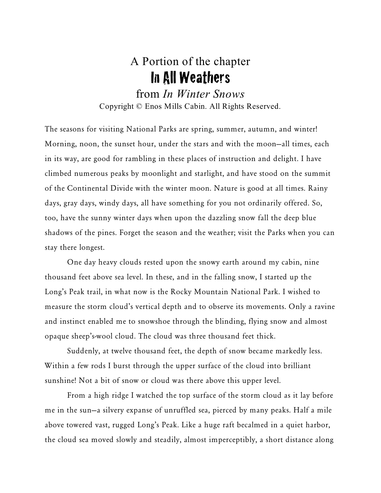## A Portion of the chapter In All Weathers

from *In Winter Snows* Copyright © Enos Mills Cabin. All Rights Reserved.

The seasons for visiting National Parks are spring, summer, autumn, and winter! Morning, noon, the sunset hour, under the stars and with the moon—all times, each in its way, are good for rambling in these places of instruction and delight. I have climbed numerous peaks by moonlight and starlight, and have stood on the summit of the Continental Divide with the winter moon. Nature is good at all times. Rainy days, gray days, windy days, all have something for you not ordinarily offered. So, too, have the sunny winter days when upon the dazzling snow fall the deep blue shadows of the pines. Forget the season and the weather; visit the Parks when you can stay there longest.

One day heavy clouds rested upon the snowy earth around my cabin, nine thousand feet above sea level. In these, and in the falling snow, I started up the Long's Peak trail, in what now is the Rocky Mountain National Park. I wished to measure the storm cloud's vertical depth and to observe its movements. Only a ravine and instinct enabled me to snowshoe through the blinding, flying snow and almost opaque sheep's-wool cloud. The cloud was three thousand feet thick.

Suddenly, at twelve thousand feet, the depth of snow became markedly less. Within a few rods I burst through the upper surface of the cloud into brilliant sunshine! Not a bit of snow or cloud was there above this upper level.

From a high ridge I watched the top surface of the storm cloud as it lay before me in the sun—a silvery expanse of unruffled sea, pierced by many peaks. Half a mile above towered vast, rugged Long's Peak. Like a huge raft becalmed in a quiet harbor, the cloud sea moved slowly and steadily, almost imperceptibly, a short distance along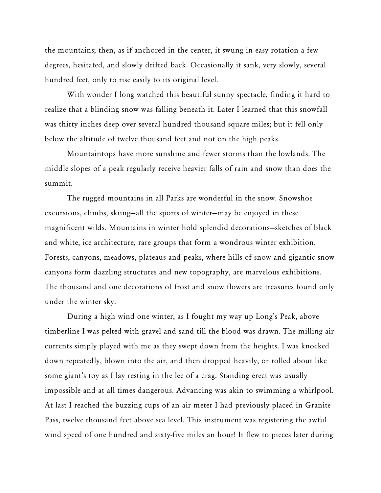the mountains; then, as if anchored in the center, it swung in easy rotation a few degrees, hesitated, and slowly drifted back. Occasionally it sank, very slowly, several hundred feet, only to rise easily to its original level.

With wonder I long watched this beautiful sunny spectacle, finding it hard to realize that a blinding snow was falling beneath it. Later I learned that this snowfall was thirty inches deep over several hundred thousand square miles; but it fell only below the altitude of twelve thousand feet and not on the high peaks.

Mountaintops have more sunshine and fewer storms than the lowlands. The middle slopes of a peak regularly receive heavier falls of rain and snow than does the summit.

The rugged mountains in all Parks are wonderful in the snow. Snowshoe excursions, climbs, skiing—all the sports of winter—may be enjoyed in these magnificent wilds. Mountains in winter hold splendid decorations—sketches of black and white, ice architecture, rare groups that form a wondrous winter exhibition. Forests, canyons, meadows, plateaus and peaks, where hills of snow and gigantic snow canyons form dazzling structures and new topography, are marvelous exhibitions. The thousand and one decorations of frost and snow flowers are treasures found only under the winter sky.

During a high wind one winter, as I fought my way up Long's Peak, above timberline I was pelted with gravel and sand till the blood was drawn. The milling air currents simply played with me as they swept down from the heights. I was knocked down repeatedly, blown into the air, and then dropped heavily, or rolled about like some giant's toy as I lay resting in the lee of a crag. Standing erect was usually impossible and at all times dangerous. Advancing was akin to swimming a whirlpool. At last I reached the buzzing cups of an air meter I had previously placed in Granite Pass, twelve thousand feet above sea level. This instrument was registering the awful wind speed of one hundred and sixty-five miles an hour! It flew to pieces later during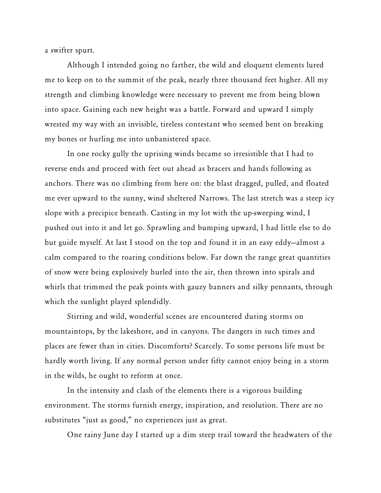a swifter spurt.

Although I intended going no farther, the wild and eloquent elements lured me to keep on to the summit of the peak, nearly three thousand feet higher. All my strength and climbing knowledge were necessary to prevent me from being blown into space. Gaining each new height was a battle. Forward and upward I simply wrested my way with an invisible, tireless contestant who seemed bent on breaking my bones or hurling me into unbanistered space.

In one rocky gully the uprising winds became so irresistible that I had to reverse ends and proceed with feet out ahead as bracers and hands following as anchors. There was no climbing from here on: the blast dragged, pulled, and floated me ever upward to the sunny, wind sheltered Narrows. The last stretch was a steep icy slope with a precipice beneath. Casting in my lot with the up-sweeping wind, I pushed out into it and let go. Sprawling and bumping upward, I had little else to do but guide myself. At last I stood on the top and found it in an easy eddy—almost a calm compared to the roaring conditions below. Far down the range great quantities of snow were being explosively hurled into the air, then thrown into spirals and whirls that trimmed the peak points with gauzy banners and silky pennants, through which the sunlight played splendidly.

Stirring and wild, wonderful scenes are encountered during storms on mountaintops, by the lakeshore, and in canyons. The dangers in such times and places are fewer than in cities. Discomforts? Scarcely. To some persons life must be hardly worth living. If any normal person under fifty cannot enjoy being in a storm in the wilds, he ought to reform at once.

In the intensity and clash of the elements there is a vigorous building environment. The storms furnish energy, inspiration, and resolution. There are no substitutes "just as good," no experiences just as great.

One rainy June day I started up a dim steep trail toward the headwaters of the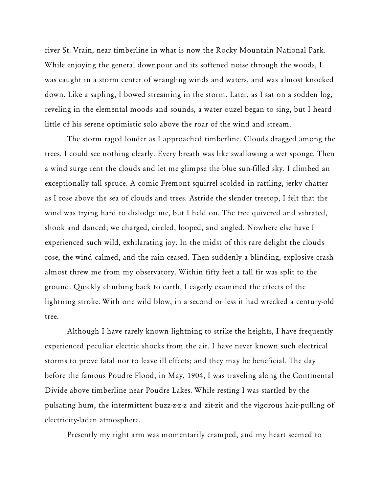river St. Vrain, near timberline in what is now the Rocky Mountain National Park. While enjoying the general downpour and its softened noise through the woods, I was caught in a storm center of wrangling winds and waters, and was almost knocked down. Like a sapling, I bowed streaming in the storm. Later, as I sat on a sodden log, reveling in the elemental moods and sounds, a water ouzel began to sing, but I heard little of his serene optimistic solo above the roar of the wind and stream.

The storm raged louder as I approached timberline. Clouds dragged among the trees. I could see nothing clearly. Every breath was like swallowing a wet sponge. Then a wind surge rent the clouds and let me glimpse the blue sun-filled sky. I climbed an exceptionally tall spruce. A comic Fremont squirrel scolded in rattling, jerky chatter as I rose above the sea of clouds and trees. Astride the slender treetop, I felt that the wind was trying hard to dislodge me, but I held on. The tree quivered and vibrated, shook and danced; we charged, circled, looped, and angled. Nowhere else have I experienced such wild, exhilarating joy. In the midst of this rare delight the clouds rose, the wind calmed, and the rain ceased. Then suddenly a blinding, explosive crash almost threw me from my observatory. Within fifty feet a tall fir was split to the ground. Quickly climbing back to earth, I eagerly examined the effects of the lightning stroke. With one wild blow, in a second or less it had wrecked a century-old tree.

Although I have rarely known lightning to strike the heights, I have frequently experienced peculiar electric shocks from the air. I have never known such electrical storms to prove fatal nor to leave ill effects; and they may be beneficial. The day before the famous Poudre Flood, in May, 1904, I was traveling along the Continental Divide above timberline near Poudre Lakes. While resting I was startled by the pulsating hum, the intermittent buzz-z-z-z and zit-zit and the vigorous hair-pulling of electricity-laden atmosphere.

Presently my right arm was momentarily cramped, and my heart seemed to